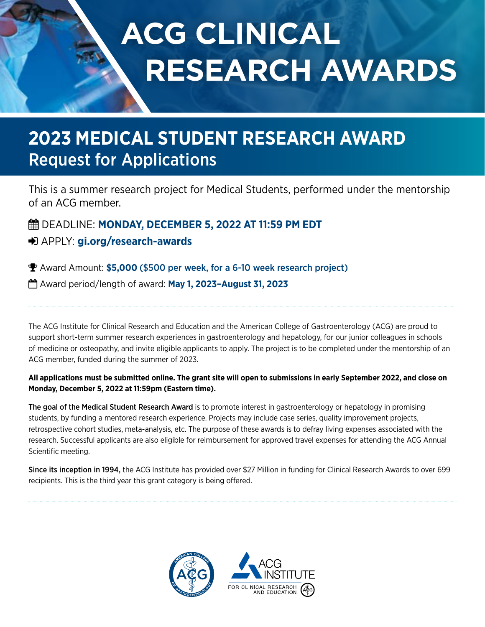# **ACG CLINICAL RESEARCH AWARDS**

# **2023 MEDICAL STUDENT RESEARCH AWARD** Request for Applications

This is a summer research project for Medical Students, performed under the mentorship of an ACG member.

 DEADLINE: **MONDAY, DECEMBER 5, 2022 AT 11:59 PM EDT** APPLY: **[gi.org/research-awards](https://gi.org/acg-institute/research-awards/)**

Award Amount: **\$5,000** (\$500 per week, for a 6-10 week research project)

Award period/length of award: **May 1, 2023–August 31, 2023**

The ACG Institute for Clinical Research and Education and the American College of Gastroenterology (ACG) are proud to support short-term summer research experiences in gastroenterology and hepatology, for our junior colleagues in schools of medicine or osteopathy, and invite eligible applicants to apply. The project is to be completed under the mentorship of an ACG member, funded during the summer of 2023.

# **All applications must be submitted online. The grant site will open to submissions in early September 2022, and close on Monday, December 5, 2022 at 11:59pm (Eastern time).**

The goal of the Medical Student Research Award is to promote interest in gastroenterology or hepatology in promising students, by funding a mentored research experience. Projects may include case series, quality improvement projects, retrospective cohort studies, meta-analysis, etc. The purpose of these awards is to defray living expenses associated with the research. Successful applicants are also eligible for reimbursement for approved travel expenses for attending the ACG Annual Scientific meeting.

Since its inception in 1994, the ACG Institute has provided over \$27 Million in funding for Clinical Research Awards to over 699 recipients. This is the third year this grant category is being offered.

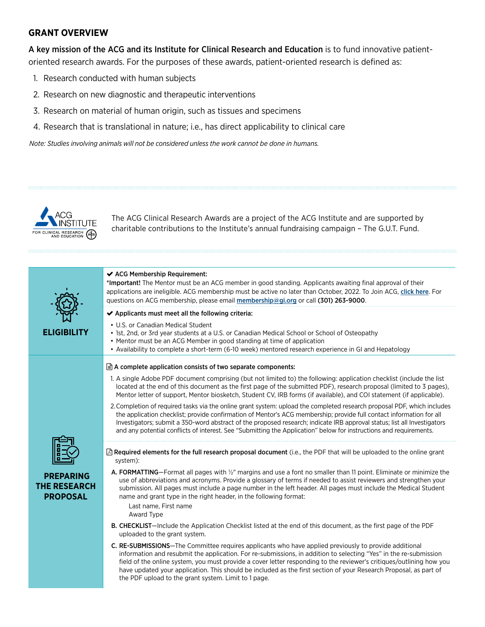# **GRANT OVERVIEW**

A key mission of the ACG and its Institute for Clinical Research and Education is to fund innovative patientoriented research awards. For the purposes of these awards, patient-oriented research is defined as:

- 1. Research conducted with human subjects
- 2. Research on new diagnostic and therapeutic interventions
- 3. Research on material of human origin, such as tissues and specimens

4. Research that is translational in nature; i.e., has direct applicability to clinical care

*Note: Studies involving animals will not be considered unless the work cannot be done in humans.* 



The ACG Clinical Research Awards are a project of the ACG Institute and are supported by charitable contributions to the Institute's annual fundraising campaign – The G.U.T. Fund.

| <b>ELIGIBILITY</b>                                         | ← ACG Membership Requirement:<br>*Important! The Mentor must be an ACG member in good standing. Applicants awaiting final approval of their<br>applications are ineligible. ACG membership must be active no later than October, 2022. To Join ACG, click here. For<br>guestions on ACG membership, please email membership@gi.org or call (301) 263-9000.                                                                                                                                                                              |  |
|------------------------------------------------------------|-----------------------------------------------------------------------------------------------------------------------------------------------------------------------------------------------------------------------------------------------------------------------------------------------------------------------------------------------------------------------------------------------------------------------------------------------------------------------------------------------------------------------------------------|--|
|                                                            | $\blacktriangleright$ Applicants must meet all the following criteria:                                                                                                                                                                                                                                                                                                                                                                                                                                                                  |  |
|                                                            | • U.S. or Canadian Medical Student<br>• 1st, 2nd, or 3rd year students at a U.S. or Canadian Medical School or School of Osteopathy<br>• Mentor must be an ACG Member in good standing at time of application<br>• Availability to complete a short-term (6-10 week) mentored research experience in GI and Hepatology                                                                                                                                                                                                                  |  |
|                                                            | $\exists$ A complete application consists of two separate components:                                                                                                                                                                                                                                                                                                                                                                                                                                                                   |  |
|                                                            | 1. A single Adobe PDF document comprising (but not limited to) the following: application checklist (include the list<br>located at the end of this document as the first page of the submitted PDF), research proposal (limited to 3 pages),<br>Mentor letter of support, Mentor biosketch, Student CV, IRB forms (if available), and COI statement (if applicable).                                                                                                                                                                   |  |
|                                                            | 2. Completion of required tasks via the online grant system: upload the completed research proposal PDF, which includes<br>the application checklist; provide confirmation of Mentor's ACG membership; provide full contact information for all<br>Investigators; submit a 350-word abstract of the proposed research; indicate IRB approval status; list all Investigators<br>and any potential conflicts of interest. See "Submitting the Application" below for instructions and requirements.                                       |  |
|                                                            | △ Required elements for the full research proposal document (i.e., the PDF that will be uploaded to the online grant<br>system):                                                                                                                                                                                                                                                                                                                                                                                                        |  |
| <b>PREPARING</b><br><b>THE RESEARCH</b><br><b>PROPOSAL</b> | A. FORMATTING-Format all pages with 1/2" margins and use a font no smaller than 11 point. Eliminate or minimize the<br>use of abbreviations and acronyms. Provide a glossary of terms if needed to assist reviewers and strengthen your<br>submission. All pages must include a page number in the left header. All pages must include the Medical Student<br>name and grant type in the right header, in the following format:<br>Last name, First name<br>Award Type                                                                  |  |
|                                                            | B. CHECKLIST-Include the Application Checklist listed at the end of this document, as the first page of the PDF<br>uploaded to the grant system.                                                                                                                                                                                                                                                                                                                                                                                        |  |
|                                                            | <b>C. RE-SUBMISSIONS</b> —The Committee requires applicants who have applied previously to provide additional<br>information and resubmit the application. For re-submissions, in addition to selecting "Yes" in the re-submission<br>field of the online system, you must provide a cover letter responding to the reviewer's critiques/outlining how you<br>have updated your application. This should be included as the first section of your Research Proposal, as part of<br>the PDF upload to the grant system. Limit to 1 page. |  |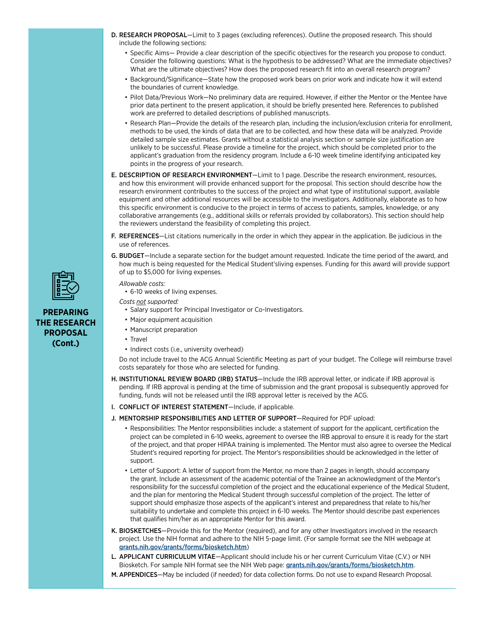- D. RESEARCH PROPOSAL—Limit to 3 pages (excluding references). Outline the proposed research. This should include the following sections:
	- Specific Aims— Provide a clear description of the specific objectives for the research you propose to conduct. Consider the following questions: What is the hypothesis to be addressed? What are the immediate objectives? What are the ultimate objectives? How does the proposed research fit into an overall research program?
	- Background/Significance—State how the proposed work bears on prior work and indicate how it will extend the boundaries of current knowledge.
	- Pilot Data/Previous Work—No preliminary data are required. However, if either the Mentor or the Mentee have prior data pertinent to the present application, it should be briefly presented here. References to published work are preferred to detailed descriptions of published manuscripts.
	- Research Plan—Provide the details of the research plan, including the inclusion/exclusion criteria for enrollment, methods to be used, the kinds of data that are to be collected, and how these data will be analyzed. Provide detailed sample size estimates. Grants without a statistical analysis section or sample size justification are unlikely to be successful. Please provide a timeline for the project, which should be completed prior to the applicant's graduation from the residency program. Include a 6-10 week timeline identifying anticipated key points in the progress of your research.
- E. DESCRIPTION OF RESEARCH ENVIRONMENT—Limit to 1 page. Describe the research environment, resources, and how this environment will provide enhanced support for the proposal. This section should describe how the research environment contributes to the success of the project and what type of institutional support, available equipment and other additional resources will be accessible to the investigators. Additionally, elaborate as to how this specific environment is conducive to the project in terms of access to patients, samples, knowledge, or any collaborative arrangements (e.g., additional skills or referrals provided by collaborators). This section should help the reviewers understand the feasibility of completing this project.
- F. REFERENCES-List citations numerically in the order in which they appear in the application. Be judicious in the use of references.
- G. BUDGET—Include a separate section for the budget amount requested. Indicate the time period of the award, and how much is being requested for the Medical Student'sliving expenses. Funding for this award will provide support of up to \$5,000 for living expenses.

#### *Allowable costs:*

• 6-10 weeks of living expenses.

#### *Costs not supported:*

- Salary support for Principal Investigator or Co-Investigators.
- Major equipment acquisition
- Manuscript preparation
- Travel
- Indirect costs (i.e., university overhead)

Do not include travel to the ACG Annual Scientific Meeting as part of your budget. The College will reimburse travel costs separately for those who are selected for funding.

- H. INSTITUTIONAL REVIEW BOARD (IRB) STATUS-Include the IRB approval letter, or indicate if IRB approval is pending. If IRB approval is pending at the time of submission and the grant proposal is subsequently approved for funding, funds will not be released until the IRB approval letter is received by the ACG.
- I. CONFLICT OF INTEREST STATEMENT—Include, if applicable.
- J. MENTORSHIP RESPONSIBILITIES AND LETTER OF SUPPORT—Required for PDF upload:
	- Responsibilities: The Mentor responsibilities include: a statement of support for the applicant, certification the project can be completed in 6-10 weeks, agreement to oversee the IRB approval to ensure it is ready for the start of the project, and that proper HIPAA training is implemented. The Mentor must also agree to oversee the Medical Student's required reporting for project. The Mentor's responsibilities should be acknowledged in the letter of support.
	- Letter of Support: A letter of support from the Mentor, no more than 2 pages in length, should accompany the grant. Include an assessment of the academic potential of the Trainee an acknowledgment of the Mentor's responsibility for the successful completion of the project and the educational experience of the Medical Student, and the plan for mentoring the Medical Student through successful completion of the project. The letter of support should emphasize those aspects of the applicant's interest and preparedness that relate to his/her suitability to undertake and complete this project in 6-10 weeks. The Mentor should describe past experiences that qualifies him/her as an appropriate Mentor for this award.
- K. BIOSKETCHES-Provide this for the Mentor (required), and for any other Investigators involved in the research project. Use the NIH format and adhere to the NIH 5-page limit. (For sample format see the NIH webpage at [grants.nih.gov/grants/forms/biosketch.htm](http://grants.nih.gov/grants/forms/biosketch.htm))
- L. APPLICANT CURRICULUM VITAE—Applicant should include his or her current Curriculum Vitae (C.V.) or NIH Biosketch. For sample NIH format see the NIH Web page: [grants.nih.gov/grants/forms/biosketch.htm](http://grants.nih.gov/grants/forms/biosketch.htm).
- M. APPENDICES—May be included (if needed) for data collection forms. Do not use to expand Research Proposal.



# **PREPARING THE RESEARCH PROPOSAL (Cont.)**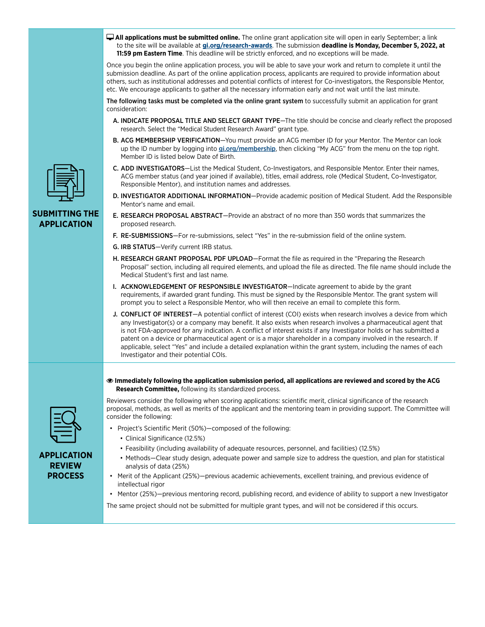- **All applications must be submitted online.** The online grant application site will open in early September; a link to the site will be available at **[gi.org/research-awards](https://gi.org/acg-institute/research-awards/)**. The submission **deadline is Monday, December 5, 2022, at 11:59 pm Eastern Time**. This deadline will be strictly enforced, and no exceptions will be made. Once you begin the online application process, you will be able to save your work and return to complete it until the submission deadline. As part of the online application process, applicants are required to provide information about others, such as institutional addresses and potential conflicts of interest for Co-investigators, the Responsible Mentor, etc. We encourage applicants to gather all the necessary information early and not wait until the last minute. The following tasks must be completed via the online grant system to successfully submit an application for grant consideration: A. INDICATE PROPOSAL TITLE AND SELECT GRANT TYPE—The title should be concise and clearly reflect the proposed research. Select the "Medical Student Research Award" grant type. B. ACG MEMBERSHIP VERIFICATION-You must provide an ACG member ID for your Mentor. The Mentor can look up the ID number by logging into [gi.org/membership](https://gi.org/membership/my-acg-login/), then clicking "My ACG" from the menu on the top right. Member ID is listed below Date of Birth. C. ADD INVESTIGATORS—List the Medical Student, Co-Investigators, and Responsible Mentor. Enter their names, ACG member status (and year joined if available), titles, email address, role (Medical Student, Co-Investigator, Responsible Mentor), and institution names and addresses.
	- D. INVESTIGATOR ADDITIONAL INFORMATION-Provide academic position of Medical Student. Add the Responsible Mentor's name and email.
	- E. RESEARCH PROPOSAL ABSTRACT—Provide an abstract of no more than 350 words that summarizes the proposed research.
	- F. RE-SUBMISSIONS—For re-submissions, select "Yes" in the re-submission field of the online system.
	- G. IRB STATUS—Verify current IRB status.
	- H. RESEARCH GRANT PROPOSAL PDF UPLOAD–Format the file as required in the "Preparing the Research Proposal" section, including all required elements, and upload the file as directed. The file name should include the Medical Student's first and last name.
	- I. ACKNOWLEDGEMENT OF RESPONSIBLE INVESTIGATOR-Indicate agreement to abide by the grant requirements, if awarded grant funding. This must be signed by the Responsible Mentor. The grant system will prompt you to select a Responsible Mentor, who will then receive an email to complete this form.
	- J. CONFLICT OF INTEREST-A potential conflict of interest (COI) exists when research involves a device from which any Investigator(s) or a company may benefit. It also exists when research involves a pharmaceutical agent that is not FDA-approved for any indication. A conflict of interest exists if any Investigator holds or has submitted a patent on a device or pharmaceutical agent or is a major shareholder in a company involved in the research. If applicable, select "Yes" and include a detailed explanation within the grant system, including the names of each Investigator and their potential COIs.
	- **Immediately following the application submission period, all applications are reviewed and scored by the ACG Research Committee,** following its standardized process.

Reviewers consider the following when scoring applications: scientific merit, clinical significance of the research proposal, methods, as well as merits of the applicant and the mentoring team in providing support. The Committee will

**APPLICATION REVIEW PROCESS**

consider the following: • Project's Scientific Merit (50%)—composed of the following: • Clinical Significance (12.5%)

- Feasibility (including availability of adequate resources, personnel, and facilities) (12.5%)
- Methods—Clear study design, adequate power and sample size to address the question, and plan for statistical analysis of data (25%)
- Merit of the Applicant (25%)—previous academic achievements, excellent training, and previous evidence of intellectual rigor

• Mentor (25%)—previous mentoring record, publishing record, and evidence of ability to support a new Investigator

The same project should not be submitted for multiple grant types, and will not be considered if this occurs.



## **SUBMITTING THE APPLICATION**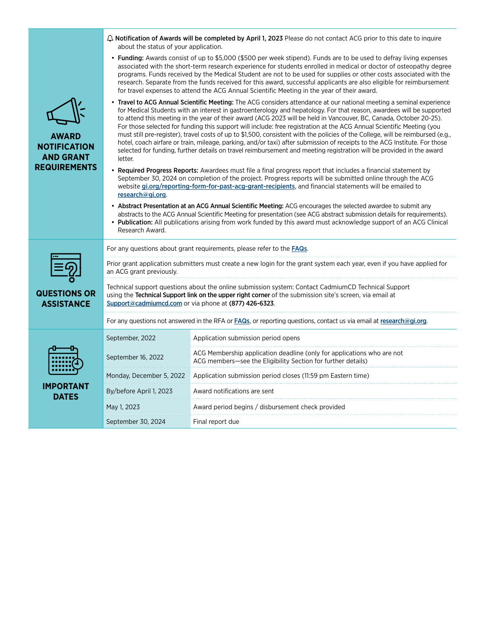|                                                                                | about the status of your application.                                                                                                                                                                                                                                                                                                                                                                                                                                                                                                                                                                                                                                                                                                                                                                                                                                                            | $\Delta$ Notification of Awards will be completed by April 1, 2023 Please do not contact ACG prior to this date to inquire             |  |
|--------------------------------------------------------------------------------|--------------------------------------------------------------------------------------------------------------------------------------------------------------------------------------------------------------------------------------------------------------------------------------------------------------------------------------------------------------------------------------------------------------------------------------------------------------------------------------------------------------------------------------------------------------------------------------------------------------------------------------------------------------------------------------------------------------------------------------------------------------------------------------------------------------------------------------------------------------------------------------------------|----------------------------------------------------------------------------------------------------------------------------------------|--|
| <b>AWARD</b><br><b>NOTIFICATION</b><br><b>AND GRANT</b><br><b>REQUIREMENTS</b> | • Funding: Awards consist of up to \$5,000 (\$500 per week stipend). Funds are to be used to defray living expenses<br>associated with the short-term research experience for students enrolled in medical or doctor of osteopathy degree<br>programs. Funds received by the Medical Student are not to be used for supplies or other costs associated with the<br>research. Separate from the funds received for this award, successful applicants are also eligible for reimbursement<br>for travel expenses to attend the ACG Annual Scientific Meeting in the year of their award.                                                                                                                                                                                                                                                                                                           |                                                                                                                                        |  |
|                                                                                | • Travel to ACG Annual Scientific Meeting: The ACG considers attendance at our national meeting a seminal experience<br>for Medical Students with an interest in gastroenterology and hepatology. For that reason, awardees will be supported<br>to attend this meeting in the year of their award (ACG 2023 will be held in Vancouver, BC, Canada, October 20-25).<br>For those selected for funding this support will include: free registration at the ACG Annual Scientific Meeting (you<br>must still pre-register), travel costs of up to \$1,500, consistent with the policies of the College, will be reimbursed (e.g.,<br>hotel, coach airfare or train, mileage, parking, and/or taxi) after submission of receipts to the ACG Institute. For those<br>selected for funding, further details on travel reimbursement and meeting registration will be provided in the award<br>letter. |                                                                                                                                        |  |
|                                                                                | • Required Progress Reports: Awardees must file a final progress report that includes a financial statement by<br>September 30, 2024 on completion of the project. Progress reports will be submitted online through the ACG<br>website gi.org/reporting-form-for-past-acg-grant-recipients, and financial statements will be emailed to<br>research@gi.org.                                                                                                                                                                                                                                                                                                                                                                                                                                                                                                                                     |                                                                                                                                        |  |
|                                                                                | • Abstract Presentation at an ACG Annual Scientific Meeting: ACG encourages the selected awardee to submit any<br>abstracts to the ACG Annual Scientific Meeting for presentation (see ACG abstract submission details for requirements).<br>. Publication: All publications arising from work funded by this award must acknowledge support of an ACG Clinical<br>Research Award.                                                                                                                                                                                                                                                                                                                                                                                                                                                                                                               |                                                                                                                                        |  |
|                                                                                | For any questions about grant requirements, please refer to the <b>FAQs</b> .                                                                                                                                                                                                                                                                                                                                                                                                                                                                                                                                                                                                                                                                                                                                                                                                                    |                                                                                                                                        |  |
|                                                                                | Prior grant application submitters must create a new login for the grant system each year, even if you have applied for<br>an ACG grant previously.<br>Technical support questions about the online submission system: Contact CadmiumCD Technical Support<br>using the Technical Support link on the upper right corner of the submission site's screen, via email at<br>Support@cadmiumcd.com or via phone at (877) 426-6323.                                                                                                                                                                                                                                                                                                                                                                                                                                                                  |                                                                                                                                        |  |
| <b>QUESTIONS OR</b><br><b>ASSISTANCE</b>                                       |                                                                                                                                                                                                                                                                                                                                                                                                                                                                                                                                                                                                                                                                                                                                                                                                                                                                                                  |                                                                                                                                        |  |
|                                                                                | For any questions not answered in the RFA or FAQs, or reporting questions, contact us via email at research@gi.org.                                                                                                                                                                                                                                                                                                                                                                                                                                                                                                                                                                                                                                                                                                                                                                              |                                                                                                                                        |  |
|                                                                                | September, 2022                                                                                                                                                                                                                                                                                                                                                                                                                                                                                                                                                                                                                                                                                                                                                                                                                                                                                  | Application submission period opens                                                                                                    |  |
|                                                                                | September 16, 2022                                                                                                                                                                                                                                                                                                                                                                                                                                                                                                                                                                                                                                                                                                                                                                                                                                                                               | ACG Membership application deadline (only for applications who are not<br>ACG members-see the Eligibility Section for further details) |  |
|                                                                                | Monday, December 5, 2022                                                                                                                                                                                                                                                                                                                                                                                                                                                                                                                                                                                                                                                                                                                                                                                                                                                                         | Application submission period closes (11:59 pm Eastern time)                                                                           |  |
| IMPORTANT<br><b>DATES</b>                                                      | By/before April 1, 2023                                                                                                                                                                                                                                                                                                                                                                                                                                                                                                                                                                                                                                                                                                                                                                                                                                                                          | Award notifications are sent                                                                                                           |  |
|                                                                                | May 1, 2023                                                                                                                                                                                                                                                                                                                                                                                                                                                                                                                                                                                                                                                                                                                                                                                                                                                                                      | Award period begins / disbursement check provided                                                                                      |  |
|                                                                                | September 30, 2024                                                                                                                                                                                                                                                                                                                                                                                                                                                                                                                                                                                                                                                                                                                                                                                                                                                                               | Final report due                                                                                                                       |  |